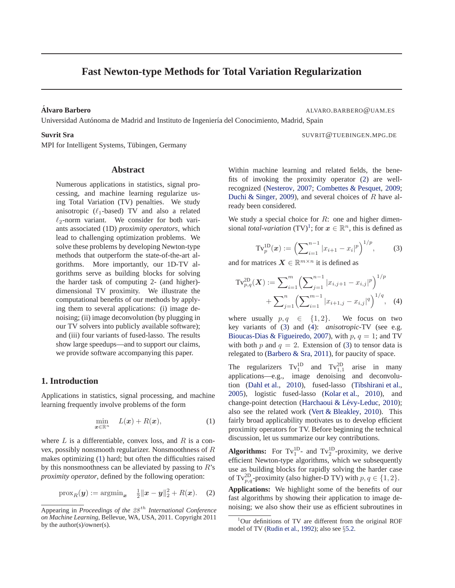# <span id="page-0-0"></span>**Fast Newton-type Methods for Total Variation Regularization**

**Alvaro Barbero ´** ALVARO.BARBERO@UAM.ES

Universidad Autónoma de Madrid and Instituto de Ingeniería del Conocimiento, Madrid, Spain

# **Suvrit Sra** SUVRIT@TUEBINGEN.MPG.DE

MPI for Intelligent Systems, Tübingen, Germany

# **Abstract**

Numerous applications in statistics, signal processing, and machine learning regularize using Total Variation (TV) penalties. We study anisotropic  $(\ell_1$ -based) TV and also a related  $\ell_2$ -norm variant. We consider for both variants associated (1D) *proximity operators*, which lead to challenging optimization problems. We solve these problems by developing Newton-type methods that outperform the state-of-the-art algorithms. More importantly, our 1D-TV algorithms serve as building blocks for solving the harder task of computing 2- (and higher) dimensional TV proximity. We illustrate the computational benefits of our methods by applying them to several applications: (i) image denoising; (ii) image deconvolution (by plugging in our TV solvers into publicly available software); and (iii) four variants of fused-lasso. The results show large speedups—and to support our claims, we provide software accompanying this paper.

# **1. Introduction**

Applications in statistics, signal processing, and machine learning frequently involve problems of the form

$$
\min_{\boldsymbol{x}\in\mathbb{R}^n} \quad L(\boldsymbol{x}) + R(\boldsymbol{x}),\tag{1}
$$

where  $L$  is a differentiable, convex loss, and  $R$  is a convex, possibly nonsmooth regularizer. Nonsmoothness of R makes optimizing (1) hard; but often the difficulties raised by this nonsmoothness can be alleviated by passing to  $R$ 's *proximity operator*, defined by the following operation:

$$
\text{prox}_R(\boldsymbol{y}) := \text{argmin}_{\boldsymbol{x}} \quad \frac{1}{2} ||\boldsymbol{x} - \boldsymbol{y}||_2^2 + R(\boldsymbol{x}). \quad (2)
$$

Within machine learning and related fields, the benefits of invoking the proximity operator (2) are wellrecognized [\(Nesterov,](#page-7-0) [2007;](#page-7-0) [Combettes & Pesquet,](#page-7-0) [2009;](#page-7-0) [Duchi & Singer,](#page-7-0) [2009](#page-7-0)), and several choices of  $R$  have already been considered.

We study a special choice for  $R$ : one and higher dimensional *total-variation*  $(TV)^1$ ; for  $x \in \mathbb{R}^n$ , this is defined as

$$
\mathrm{Tv}_{p}^{\mathrm{1D}}(x) := \left(\sum_{i=1}^{n-1} |x_{i+1} - x_{i}|^{p}\right)^{1/p},\tag{3}
$$

and for matrices  $\mathbf{X} \in \mathbb{R}^{m \times n}$  it is defined as

$$
\mathrm{Tv}_{p,q}^{2D}(\boldsymbol{X}) := \sum_{i=1}^{m} \left( \sum_{j=1}^{n-1} |x_{i,j+1} - x_{i,j}|^{p} \right)^{1/p} + \sum_{j=1}^{n} \left( \sum_{i=1}^{m-1} |x_{i+1,j} - x_{i,j}|^{q} \right)^{1/q}, \quad (4)
$$

where usually  $p, q \in \{1, 2\}$ . We focus on two key variants of (3) and (4): *anisotropic*-TV (see e.g. [Bioucas-Dias & Figueiredo](#page-7-0), [2007](#page-7-0)), with  $p, q = 1$ ; and TV with both p and  $q = 2$ . Extension of (3) to tensor data is relegated to [\(Barbero & Sra,](#page-7-0) [2011\)](#page-7-0), for paucity of space.

The regularizers  $Tv_1^{1D}$  and  $Tv_{1,1}^{2D}$  arise in many applications—e.g., image denoising and deconvolution [\(Dahl et al.](#page-7-0), [2010\)](#page-7-0), fused-lasso [\(Tibshirani et al.,](#page-7-0) [2005](#page-7-0)), logistic fused-lasso [\(Kolar et al.,](#page-7-0) [2010\)](#page-7-0), and change-point detection (Harchaoui & Lévy-Leduc, [2010](#page-7-0)); also see the related work [\(Vert & Bleakley,](#page-7-0) [2010](#page-7-0)). This fairly broad applicability motivates us to develop efficient proximity operators for TV. Before beginning the technical discussion, let us summarize our key contributions.

**Algorithms:** For  $Tv_1^{1D}$ - and  $Tv_2^{1D}$ -proximity, we derive efficient Newton-type algorithms, which we subsequently use as building blocks for rapidly solving the harder case of Tv<sup>2D</sup><sub>p,q</sub>-proximity (also higher-D TV) with  $p, q \in \{1, 2\}$ .

**Applications:** We highlight some of the benefits of our fast algorithms by showing their application to image denoising; we also show their use as efficient subroutines in

Appearing in *Proceedings of the 28<sup>th</sup> International Conference on Machine Learning*, Bellevue, WA, USA, 2011. Copyright 2011 by the author(s)/owner(s).

<sup>&</sup>lt;sup>1</sup>Our definitions of TV are different from the original ROF model of TV [\(Rudin et al.,](#page-7-0) [1992](#page-7-0)); also see §[5.2.](#page-5-0)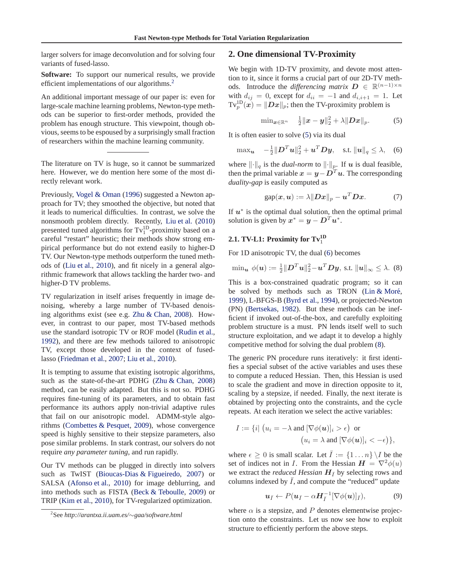<span id="page-1-0"></span>larger solvers for image deconvolution and for solving four variants of fused-lasso.

**Software:** To support our numerical results, we provide efficient implementations of our algorithms.<sup>2</sup>

An additional important message of our paper is: even for large-scale machine learning problems, Newton-type methods can be superior to first-order methods, provided the problem has enough structure. This viewpoint, though obvious, seems to be espoused by a surprisingly small fraction of researchers within the machine learning community.

The literature on TV is huge, so it cannot be summarized here. However, we do mention here some of the most directly relevant work.

Previously, [Vogel & Oman](#page-7-0) [\(1996](#page-7-0)) suggested a Newton approach for TV; they smoothed the objective, but noted that it leads to numerical difficulties. In contrast, we solve the nonsmooth problem directly. Recently, [Liu et al.](#page-7-0) [\(2010](#page-7-0)) presented tuned algorithms for  $Tv_1^{1D}$ -proximity based on a careful "restart" heuristic; their methods show strong empirical performance but do not extend easily to higher-D TV. Our Newton-type methods outperform the tuned methods of [\(Liu et al.,](#page-7-0) [2010\)](#page-7-0), and fit nicely in a general algorithmic framework that allows tackling the harder two- and higher-D TV problems.

TV regularization in itself arises frequently in image denoising, whereby a large number of TV-based denoising algorithms exist (see e.g. [Zhu & Chan](#page-7-0), [2008](#page-7-0)). However, in contrast to our paper, most TV-based methods use the standard isotropic TV or ROF model [\(Rudin et al.,](#page-7-0) [1992](#page-7-0)), and there are few methods tailored to anisotropic TV, except those developed in the context of fusedlasso [\(Friedman et al.](#page-7-0), [2007](#page-7-0); [Liu et al.](#page-7-0), [2010\)](#page-7-0).

It is tempting to assume that existing isotropic algorithms, such as the state-of-the-art PDHG [\(Zhu & Chan,](#page-7-0) [2008](#page-7-0)) method, can be easily adapted. But this is not so. PDHG requires fine-tuning of its parameters, and to obtain fast performance its authors apply non-trivial adaptive rules that fail on our anisotropic model. ADMM-style algorithms [\(Combettes & Pesquet](#page-7-0), [2009\)](#page-7-0), whose convergence speed is highly sensitive to their stepsize parameters, also pose similar problems. In stark contrast, our solvers do not require *any parameter tuning*, and run rapidly.

Our TV methods can be plugged in directly into solvers such as TwIST [\(Bioucas-Dias & Figueiredo](#page-7-0), [2007](#page-7-0)) or SALSA [\(Afonso et al.](#page-7-0), [2010](#page-7-0)) for image deblurring, and into methods such as FISTA [\(Beck & Teboulle,](#page-7-0) [2009](#page-7-0)) or TRIP [\(Kim et al.](#page-7-0), [2010](#page-7-0)), for TV-regularized optimization.

# **2. One dimensional TV-Proximity**

We begin with 1D-TV proximity, and devote most attention to it, since it forms a crucial part of our 2D-TV methods. Introduce the *differencing matrix*  $D \in \mathbb{R}^{(n-1)\times n}$ with  $d_{ij} = 0$ , except for  $d_{ii} = -1$  and  $d_{i,i+1} = 1$ . Let  $\text{Tv}_p^{\text{1D}}(\bm{x}) = \|\bm{Dx}\|_p$ ; then the TV-proximity problem is

$$
\min_{\bm{x} \in \mathbb{R}^n} \quad \frac{1}{2} \|\bm{x} - \bm{y}\|_2^2 + \lambda \| \bm{D} \bm{x} \|_p. \tag{5}
$$

It is often easier to solve (5) via its dual

$$
\max_{\mathbf{u}} \quad -\frac{1}{2} \|\mathbf{D}^T \mathbf{u}\|_2^2 + \mathbf{u}^T \mathbf{D} \mathbf{y}, \quad \text{s.t. } \|\mathbf{u}\|_q \le \lambda, \quad (6)
$$

where  $\lVert \cdot \rVert_q$  is the *dual-norm* to  $\lVert \cdot \rVert_p$ . If u is dual feasible, then the primal variable  $x = y - D<sup>T</sup> u$ . The corresponding *duality-gap* is easily computed as

$$
gap(x, u) := \lambda ||Dx||_p - u^T Dx. \tag{7}
$$

If  $u^*$  is the optimal dual solution, then the optimal primal solution is given by  $x^* = y - D^T u^*$ .

# **2.1. TV-L1: Proximity for**  $Tv_1^{\text{1D}}$

For 1D anisotropic TV, the dual (6) becomes

$$
\min_{\boldsymbol{u}} \phi(\boldsymbol{u}) := \frac{1}{2} ||\boldsymbol{D}^T \boldsymbol{u}||_2^2 - \boldsymbol{u}^T \boldsymbol{D} \boldsymbol{y}, \text{ s.t. } ||\boldsymbol{u}||_{\infty} \leq \lambda. \tag{8}
$$

This is a box-constrained quadratic program; so it can be solved by methods such as TRON (Lin  $&$  Moré, [1999](#page-7-0)), L-BFGS-B [\(Byrd et al.,](#page-7-0) [1994](#page-7-0)), or projected-Newton (PN) [\(Bertsekas,](#page-7-0) [1982\)](#page-7-0). But these methods can be inefficient if invoked out-of-the-box, and carefully exploiting problem structure is a must. PN lends itself well to such structure exploitation, and we adapt it to develop a highly competitive method for solving the dual problem (8).

The generic PN procedure runs iteratively: it first identifies a special subset of the active variables and uses these to compute a reduced Hessian. Then, this Hessian is used to scale the gradient and move in direction opposite to it, scaling by a stepsize, if needed. Finally, the next iterate is obtained by projecting onto the constraints, and the cycle repeats. At each iteration we select the active variables:

$$
I := \{i \mid (u_i = -\lambda \text{ and } [\nabla \phi(\boldsymbol{u})]_i > \epsilon) \text{ or}
$$

$$
(u_i = \lambda \text{ and } [\nabla \phi(\boldsymbol{u})]_i < -\epsilon) \},
$$

where  $\epsilon \geq 0$  is small scalar. Let  $\overline{I} := \{1 \dots n\} \setminus I$  be the set of indices not in I. From the Hessian  $\mathbf{H} = \nabla^2 \phi(u)$ we extract the *reduced Hessian*  $H_{\bar{I}}$  by selecting rows and columns indexed by  $\overline{I}$ , and compute the "reduced" update

$$
\mathbf{u}_{\bar{I}} \leftarrow P(\mathbf{u}_{\bar{I}} - \alpha \mathbf{H}_{\bar{I}}^{-1} [\nabla \phi(\mathbf{u})]_{\bar{I}}), \tag{9}
$$

where  $\alpha$  is a stepsize, and P denotes elementwise projection onto the constraints. Let us now see how to exploit structure to efficiently perform the above steps.

<sup>2</sup> See *http://arantxa.ii.uam.es/*∼*gaa/software.html*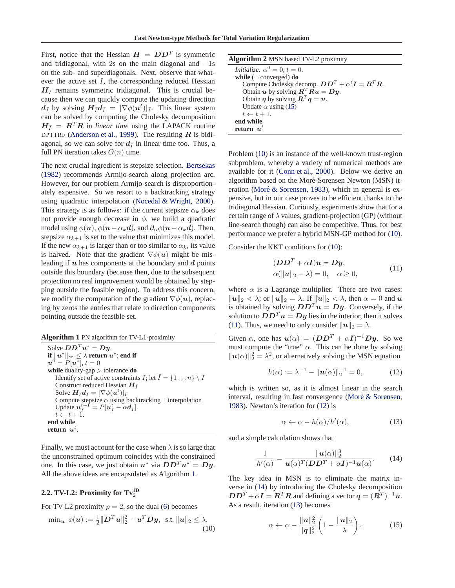<span id="page-2-0"></span>First, notice that the Hessian  $H = D D^{T}$  is symmetric and tridiagonal, with 2s on the main diagonal and  $-1s$ on the sub- and superdiagonals. Next, observe that whatever the active set  $I$ , the corresponding reduced Hessian  $H_{\bar{I}}$  remains symmetric tridiagonal. This is crucial because then we can quickly compute the updating direction  $d_{\bar{I}}$  by solving  $H_{\bar{I}}d_{\bar{I}} = [\nabla \phi(\bm{u}^t)]_{\bar{I}}$ . This linear system can be solved by computing the Cholesky decomposition  $H_{\bar{I}} = R^T R$  in *linear time* using the LAPACK routine DPTTRF [\(Anderson et al.](#page-7-0), [1999\)](#page-7-0). The resulting  $R$  is bidiagonal, so we can solve for  $d_{\bar{l}}$  in linear time too. Thus, a full PN iteration takes  $O(n)$  time.

The next crucial ingredient is stepsize selection. [Bertsekas](#page-7-0) [\(1982\)](#page-7-0) recommends Armijo-search along projection arc. However, for our problem Armijo-search is disproportionately expensive. So we resort to a backtracking strategy using quadratic interpolation [\(Nocedal & Wright,](#page-7-0) [2000\)](#page-7-0). This strategy is as follows: if the current stepsize  $\alpha_k$  does not provide enough decrease in  $\phi$ , we build a quadratic model using  $\phi(\mathbf{u}), \phi(\mathbf{u}-\alpha_k \mathbf{d})$ , and  $\partial_\alpha \phi(\mathbf{u}-\alpha_k \mathbf{d})$ . Then, stepsize  $\alpha_{k+1}$  is set to the value that minimizes this model. If the new  $\alpha_{k+1}$  is larger than or too similar to  $\alpha_k$ , its value is halved. Note that the gradient  $\nabla \phi(\mathbf{u})$  might be misleading if  $u$  has components at the boundary and  $d$  points outside this boundary (because then, due to the subsequent projection no real improvement would be obtained by stepping outside the feasible region). To address this concern, we modify the computation of the gradient  $\nabla \phi(\mathbf{u})$ , replacing by zeros the entries that relate to direction components pointing outside the feasible set.

**Algorithm 1** PN algorithm for TV-L1-proximity Solve  $\boldsymbol{D}\boldsymbol{D}^T\boldsymbol{u}^* = \boldsymbol{D}\boldsymbol{y}$ .  $\textbf{if} \ \| u^* \|_\infty \leq \lambda \ \textbf{return} \ u^*; \textbf{end if}$  $u^{0} = P[u^{\overline{*}}], t = 0$ **while** duality-gap > tolerance **do** Identify set of active constraints I; let  $\overline{I} = \{1 \dots n\} \setminus I$ Construct reduced Hessian  $H_{\bar{I}}$ Solve  $\boldsymbol{H}_{\bar{I}}\boldsymbol{d}_{\bar{I}} = [\nabla \phi(\boldsymbol{u}^t)]_{\bar{I}}$ Compute stepsize  $\alpha$  using backtracking + interpolation Update  $u_{\bar{I}}^{t+1} = P[u_{\bar{I}}^t - \alpha d_{\bar{I}}].$  $t \leftarrow t + 1.$ **end while** return  $u^t$ .

Finally, we must account for the case when  $\lambda$  is so large that the unconstrained optimum coincides with the constrained one. In this case, we just obtain  $u^*$  via  $DD^T u^* = Dy$ . All the above ideas are encapsulated as Algorithm 1.

# **2.2. TV-L2: Proximity for**  $Tv_2^{\text{1D}}$

For TV-L2 proximity  $p = 2$ , so the dual [\(6\)](#page-1-0) becomes

$$
\min_{\mathbf{u}} \phi(\mathbf{u}) := \frac{1}{2} ||\mathbf{D}^T \mathbf{u}||_2^2 - \mathbf{u}^T \mathbf{D} \mathbf{y}, \text{ s.t. } ||\mathbf{u}||_2 \le \lambda.
$$
\n(10)

| <b>Algorithm 2</b> MSN based TV-L2 proximity                                       |
|------------------------------------------------------------------------------------|
| Initialize: $\alpha^0 = 0, t = 0$ .                                                |
| while $(\neg$ converged) do                                                        |
| Compute Cholesky decomp. $DD^T + \alpha^t I = R^T R$ .                             |
| Obtain u by solving $\mathbf{R}^T \mathbf{R} \mathbf{u} = \mathbf{D} \mathbf{y}$ . |
| Obtain q by solving $R^T q = u$ .                                                  |
| Update $\alpha$ using (15)                                                         |
| $t \leftarrow t + 1.$                                                              |
| end while                                                                          |
| return $u^t$                                                                       |

Problem (10) is an instance of the well-known trust-region subproblem, whereby a variety of numerical methods are available for it [\(Conn et al.,](#page-7-0) [2000](#page-7-0)). Below we derive an algorithm based on the Moré-Sorensen Newton (MSN) it-eration (Moré & Sorensen, [1983](#page-7-0)), which in general is expensive, but in our case proves to be efficient thanks to the tridiagonal Hessian. Curiously, experiments show that for a certain range of  $\lambda$  values, gradient-projection (GP) (without line-search though) can also be competitive. Thus, for best performance we prefer a hybrid MSN-GP method for (10).

Consider the KKT conditions for (10):

$$
(DDT + \alpha I)u = Dy,\n\alpha(||u||_2 - \lambda) = 0, \quad \alpha \ge 0,
$$
\n(11)

where  $\alpha$  is a Lagrange multiplier. There are two cases:  $||u||_2 < \lambda$ ; or  $||u||_2 = \lambda$ . If  $||u||_2 < \lambda$ , then  $\alpha = 0$  and u is obtained by solving  $DD^{T}u = Dy$ . Conversely, if the solution to  $DD^{T}u = Dy$  lies in the interior, then it solves (11). Thus, we need to only consider  $||u||_2 = \lambda$ .

Given  $\alpha$ , one has  $u(\alpha) = (DD^T + \alpha I)^{-1}Dy$ . So we must compute the "true"  $\alpha$ . This can be done by solving  $\|\boldsymbol{u}(\alpha)\|_2^2 = \lambda^2$ , or alternatively solving the MSN equation

$$
h(\alpha) := \lambda^{-1} - \|\mathbf{u}(\alpha)\|_2^{-1} = 0,
$$
 (12)

which is written so, as it is almost linear in the search interval, resulting in fast convergence (Moré  $&$  Sorensen, [1983](#page-7-0)). Newton's iteration for (12) is

$$
\alpha \leftarrow \alpha - h(\alpha)/h'(\alpha), \tag{13}
$$

and a simple calculation shows that

$$
\frac{1}{h'(\alpha)} = \frac{\|u(\alpha)\|_2^3}{u(\alpha)^T (DD^T + \alpha I)^{-1} u(\alpha)}.
$$
 (14)

The key idea in MSN is to eliminate the matrix inverse in (14) by introducing the Cholesky decomposition  $DD^T + \alpha I = \mathbf{R}^T \mathbf{R}$  and defining a vector  $\mathbf{q} = (\mathbf{R}^T)^{-1} \mathbf{u}$ . As a result, iteration (13) becomes

$$
\alpha \leftarrow \alpha - \frac{\|\mathbf{u}\|_{2}^{2}}{\|\mathbf{q}\|_{2}^{2}} \left(1 - \frac{\|\mathbf{u}\|_{2}}{\lambda}\right). \tag{15}
$$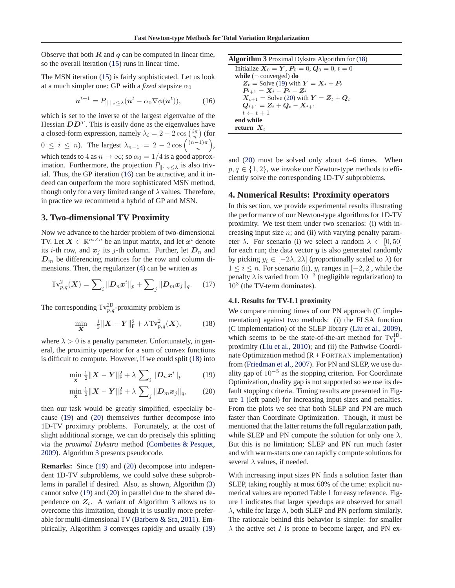Observe that both  $R$  and  $q$  can be computed in linear time, so the overall iteration [\(15\)](#page-2-0) runs in linear time.

The MSN iteration [\(15\)](#page-2-0) is fairly sophisticated. Let us look at a much simpler one: GP with a *fixed* stepsize  $\alpha_0$ 

$$
\boldsymbol{u}^{t+1} = P_{\|\cdot\|_2 \leq \lambda}(\boldsymbol{u}^t - \alpha_0 \nabla \phi(\boldsymbol{u}^t)), \tag{16}
$$

which is set to the inverse of the largest eigenvalue of the Hessian  $DD<sup>T</sup>$ . This is easily done as the eigenvalues have a closed-form expression, namely  $\lambda_i = 2 - 2 \cos\left(\frac{i\pi}{n}\right)$  (for  $0 \leq i \leq n$ ). The largest  $\lambda_{n-1} = 2 - 2 \cos \left( \frac{(n-1)\pi}{n} \right)$  $\frac{(-1)\pi}{n}\bigg),$ which tends to 4 as  $n \to \infty$ ; so  $\alpha_0 = 1/4$  is a good approximation. Furthermore, the projection  $P_{\|\cdot\|_2\leq\lambda}$  is also trivial. Thus, the GP iteration (16) can be attractive, and it indeed can outperform the more sophisticated MSN method, though only for a very limited range of  $\lambda$  values. Therefore, in practice we recommend a hybrid of GP and MSN.

# **3. Two-dimensional TV Proximity**

Now we advance to the harder problem of two-dimensional TV. Let  $X \in \mathbb{R}^{m \times n}$  be an input matrix, and let  $x^i$  denote its *i*-th row, and  $x_j$  its *j*-th column. Further, let  $D_n$  and  $D_m$  be differencing matrices for the row and column dimensions. Then, the regularizer [\(4\)](#page-0-0) can be written as

$$
\text{Tv}_{p,q}^{2}(\boldsymbol{X}) = \sum_{i} \|D_{n}\boldsymbol{x}^{i}\|_{p} + \sum_{j} \|D_{m}\boldsymbol{x}_{j}\|_{q}.
$$
 (17)

The corresponding  $Tv_{p,q}^{2D}$ -proximity problem is

$$
\min_{\mathbf{X}} \quad \frac{1}{2} \| \mathbf{X} - \mathbf{Y} \|_{\mathrm{F}}^2 + \lambda \operatorname{Tv}_{p,q}^2(\mathbf{X}), \tag{18}
$$

where  $\lambda > 0$  is a penalty parameter. Unfortunately, in general, the proximity operator for a sum of convex functions is difficult to compute. However, if we could split (18) into

$$
\min_{\mathbf{X}} \frac{1}{2} \|\mathbf{X} - \mathbf{Y}\|_{\mathrm{F}}^2 + \lambda \sum_{i} \|D_n x^i\|_{p} \tag{19}
$$

$$
\min_{\mathbf{X}} \frac{1}{2} \|\mathbf{X} - \mathbf{Y}\|_{\mathrm{F}}^2 + \lambda \sum_{j} \|D_{m} x_{j}\|_{q}, \qquad (20)
$$

then our task would be greatly simplified, especially because (19) and (20) themselves further decompose into 1D-TV proximity problems. Fortunately, at the cost of slight additional storage, we can do precisely this splitting via the *proximal Dykstra* method [\(Combettes & Pesquet,](#page-7-0) [2009](#page-7-0)). Algorithm 3 presents pseudocode.

**Remarks:** Since (19) and (20) decompose into independent 1D-TV subproblems, we could solve these subproblems in parallel if desired. Also, as shown, Algorithm (3) cannot solve (19) and (20) in parallel due to the shared dependence on  $Z_t$ . A variant of Algorithm 3 allows us to overcome this limitation, though it is usually more preferable for multi-dimensional TV [\(Barbero & Sra](#page-7-0), [2011\)](#page-7-0). Empirically, Algorithm 3 converges rapidly and usually (19)

| <b>Algorithm 3</b> Proximal Dykstra Algorithm for (18) |
|--------------------------------------------------------|
| Initialize $X_0 = Y, P_0 = 0, Q_0 = 0, t = 0$          |
| while $(\neg$ converged) do                            |
| $Z_t$ = Solve (19) with $Y = X_t + P_t$                |
| $P_{t+1} = X_t + P_t - Z_t$                            |
| $X_{t+1}$ = Solve (20) with $Y = Z_t + Q_t$            |
| $Q_{t+1} = Z_t + Q_t - X_{t+1}$                        |
| $t \leftarrow t + 1$                                   |
| end while                                              |
| return $X_t$                                           |

and (20) must be solved only about 4–6 times. When  $p, q \in \{1, 2\}$ , we invoke our Newton-type methods to efficiently solve the corresponding 1D-TV subproblems.

## **4. Numerical Results: Proximity operators**

In this section, we provide experimental results illustrating the performance of our Newton-type algorithms for 1D-TV proximity. We test them under two scenarios: (i) with increasing input size  $n$ ; and (ii) with varying penalty parameter  $\lambda$ . For scenario (i) we select a random  $\lambda \in [0, 50]$ for each run; the data vector  $y$  is also generated randomly by picking  $y_i \in [-2\lambda, 2\lambda]$  (proportionally scaled to  $\lambda$ ) for  $1 \leq i \leq n$ . For scenario (ii),  $y_i$  ranges in  $[-2, 2]$ , while the penalty  $\lambda$  is varied from  $10^{-3}$  (negligible regularization) to  $10^3$  (the TV-term dominates).

#### **4.1. Results for TV-L1 proximity**

We compare running times of our PN approach (C implementation) against two methods: (i) the FLSA function (C implementation) of the SLEP library [\(Liu et al.](#page-7-0), [2009\)](#page-7-0), which seems to be the state-of-the-art method for  $Tv_1^{\text{1D}}$ proximity [\(Liu et al.,](#page-7-0) [2010](#page-7-0)); and (ii) the Pathwise Coordinate Optimization method  $(R + FORTRAN)$  implementation) from [\(Friedman et al.](#page-7-0), [2007\)](#page-7-0). For PN and SLEP, we use duality gap of  $10^{-5}$  as the stopping criterion. For Coordinate Optimization, duality gap is not supported so we use its default stopping criteria. Timing results are presented in Figure [1](#page-4-0) (left panel) for increasing input sizes and penalties. From the plots we see that both SLEP and PN are much faster than Coordinate Optimization. Though, it must be mentioned that the latter returns the full regularization path, while SLEP and PN compute the solution for only one  $\lambda$ . But this is no limitation; SLEP and PN run much faster and with warm-starts one can rapidly compute solutions for several  $\lambda$  values, if needed.

With increasing input sizes PN finds a solution faster than SLEP, taking roughly at most 60% of the time: explicit numerical values are reported Table [1](#page-4-0) for easy reference. Figure [1](#page-4-0) indicates that larger speedups are observed for small  $\lambda$ , while for large  $\lambda$ , both SLEP and PN perform similarly. The rationale behind this behavior is simple: for smaller  $\lambda$  the active set I is prone to become larger, and PN ex-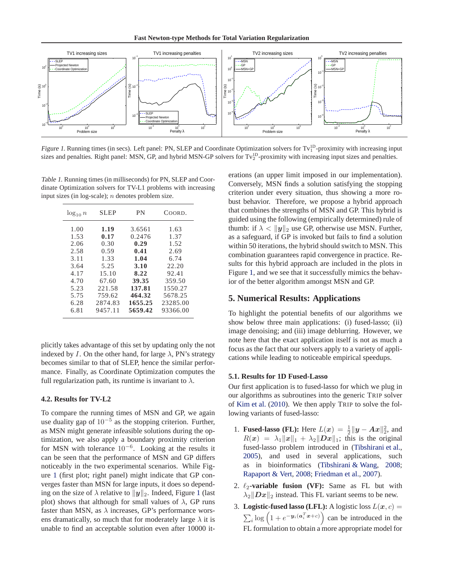**Fast Newton-type Methods for Total Variation Regularization**

<span id="page-4-0"></span>

Figure 1. Running times (in secs). Left panel: PN, SLEP and Coordinate Optimization solvers for Tv<sup>1D</sup>-proximity with increasing input sizes and penalties. Right panel: MSN, GP, and hybrid MSN-GP solvers for  $Tv_2^D$ -proximity with increasing input sizes and penalties.

Table 1. Running times (in milliseconds) for PN, SLEP and Coordinate Optimization solvers for TV-L1 problems with increasing input sizes (in log-scale);  $n$  denotes problem size.

| $\log_{10} n$ | <b>SLEP</b> | PN      | COORD.   |
|---------------|-------------|---------|----------|
| 1.00          | 1.19        | 3.6561  | 1.63     |
| 1.53          | 0.17        | 0.2476  | 1.37     |
| 2.06          | 0.30        | 0.29    | 1.52     |
| 2.58          | 0.59        | 0.41    | 2.69     |
| 3.11          | 1.33        | 1.04    | 6.74     |
| 3.64          | 5.25        | 3.10    | 22.20    |
| 4.17          | 15.10       | 8.22    | 92.41    |
| 4.70          | 67.60       | 39.35   | 359.50   |
| 5.23          | 221.58      | 137.81  | 1550.27  |
| 5.75          | 759.62      | 464.32  | 5678.25  |
| 6.28          | 2874.83     | 1655.25 | 23285.00 |
| 6.81          | 9457.11     | 5659.42 | 93366.00 |

plicitly takes advantage of this set by updating only the not indexed by I. On the other hand, for large  $\lambda$ , PN's strategy becomes similar to that of SLEP, hence the similar performance. Finally, as Coordinate Optimization computes the full regularization path, its runtime is invariant to  $\lambda$ .

### **4.2. Results for TV-L2**

To compare the running times of MSN and GP, we again use duality gap of  $10^{-5}$  as the stopping criterion. Further, as MSN might generate infeasible solutions during the optimization, we also apply a boundary proximity criterion for MSN with tolerance  $10^{-6}$ . Looking at the results it can be seen that the performance of MSN and GP differs noticeably in the two experimental scenarios. While Figure 1 (first plot; right panel) might indicate that GP converges faster than MSN for large inputs, it does so depending on the size of  $\lambda$  relative to  $||y||_2$ . Indeed, Figure 1 (last plot) shows that although for small values of  $\lambda$ , GP runs faster than MSN, as  $\lambda$  increases, GP's performance worsens dramatically, so much that for moderately large  $\lambda$  it is unable to find an acceptable solution even after 10000 iterations (an upper limit imposed in our implementation). Conversely, MSN finds a solution satisfying the stopping criterion under every situation, thus showing a more robust behavior. Therefore, we propose a hybrid approach that combines the strengths of MSN and GP. This hybrid is guided using the following (empirically determined) rule of thumb: if  $\lambda < ||y||_2$  use GP, otherwise use MSN. Further, as a safeguard, if GP is invoked but fails to find a solution within 50 iterations, the hybrid should switch to MSN. This combination guarantees rapid convergence in practice. Results for this hybrid approach are included in the plots in Figure 1, and we see that it successfully mimics the behavior of the better algorithm amongst MSN and GP.

# **5. Numerical Results: Applications**

To highlight the potential benefits of our algorithms we show below three main applications: (i) fused-lasso; (ii) image denoising; and (iii) image deblurring. However, we note here that the exact application itself is not as much a focus as the fact that our solvers apply to a variety of applications while leading to noticeable empirical speedups.

## **5.1. Results for 1D Fused-Lasso**

Our first application is to fused-lasso for which we plug in our algorithms as subroutines into the generic TRIP solver of [Kim et al.](#page-7-0) [\(2010](#page-7-0)). We then apply TRIP to solve the following variants of fused-lasso:

- 1. **Fused-lasso** (**FL**): Here  $L(x) = \frac{1}{2} ||y Ax||_2^2$ , and  $R(x) = \lambda_1 ||x||_1 + \lambda_2 ||Dx||_1$ ; this is the original fused-lasso problem introduced in [\(Tibshirani et al.,](#page-7-0) [2005](#page-7-0)), and used in several applications, such as in bioinformatics [\(Tibshirani & Wang](#page-7-0), [2008;](#page-7-0) [Rapaport & Vert](#page-7-0), [2008](#page-7-0); [Friedman et al.](#page-7-0), [2007](#page-7-0)).
- 2.  $\ell_2$ -variable fusion (VF): Same as FL but with  $\lambda_2$   $\|\mathbf{D}\mathbf{x}\|_2$  instead. This FL variant seems to be new.
- 3. **Logistic-fused lasso (LFL):** A logistic loss  $L(x, c) =$  $\sum_{i} \log \left( 1 + e^{-\mathbf{y}_i(a_i^T \mathbf{x} + c)} \right)$  can be introduced in the FL formulation to obtain a more appropriate model for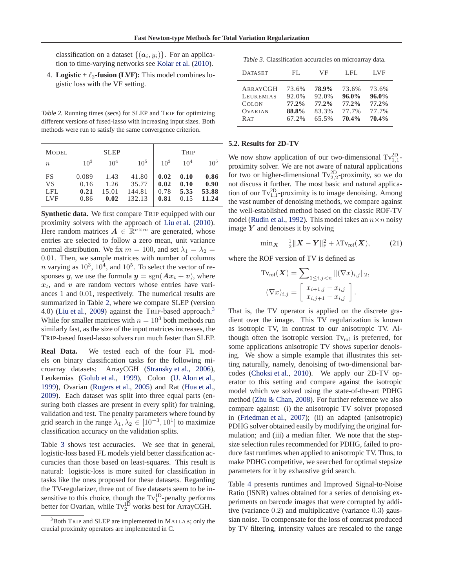<span id="page-5-0"></span>classification on a dataset  $\{(\boldsymbol{a}_i, y_i)\}\$ . For an application to time-varying networks see [Kolar et al.](#page-7-0) [\(2010](#page-7-0)).

4. **Logistic** +  $\ell_2$ -fusion (LVF): This model combines logistic loss with the VF setting.

Table 2. Running times (secs) for SLEP and TRIP for optimizing different versions of fused-lasso with increasing input sizes. Both methods were run to satisfy the same convergence criterion.

| <b>MODEL</b>                                |                               | <b>SLEP</b>                   |                                    |                              | TRIP                         |                                |
|---------------------------------------------|-------------------------------|-------------------------------|------------------------------------|------------------------------|------------------------------|--------------------------------|
| $\boldsymbol{n}$                            | $10^{3}$                      | 10 <sup>4</sup>               | $10^{5}$                           | $10^3$                       | 10 <sup>4</sup>              | $10^{5}$                       |
| <b>FS</b><br>VS<br><b>LFL</b><br><b>LVF</b> | 0.089<br>0.16<br>0.21<br>0.86 | 1.43<br>1.26<br>15.01<br>0.02 | 41.80<br>35.77<br>144.81<br>132.13 | 0.02<br>0.02<br>0.78<br>0.81 | 0.10<br>0.10<br>5.35<br>0.15 | 0.86<br>0.90<br>53.88<br>11.24 |

**Synthetic data.** We first compare TRIP equipped with our proximity solvers with the approach of [Liu et al.](#page-7-0) [\(2010\)](#page-7-0). Here random matrices  $A \in \mathbb{R}^{n \times m}$  are generated, whose entries are selected to follow a zero mean, unit variance normal distribution. We fix  $m = 100$ , and set  $\lambda_1 = \lambda_2 =$ 0.01. Then, we sample matrices with number of columns *n* varying as  $10^3$ ,  $10^4$ , and  $10^5$ . To select the vector of responses y, we use the formula  $y = sgn(Ax_t + v)$ , where  $x_t$ , and v are random vectors whose entries have variances 1 and 0.01, respectively. The numerical results are summarized in Table 2, where we compare SLEP (version 4.0) [\(Liu et al.](#page-7-0), [2009\)](#page-7-0) against the TRIP-based approach.<sup>3</sup> While for smaller matrices with  $n = 10<sup>3</sup>$  both methods run similarly fast, as the size of the input matrices increases, the TRIP-based fused-lasso solvers run much faster than SLEP.

**Real Data.** We tested each of the four FL models on binary classification tasks for the following microarray datasets: ArrayCGH [\(Stransky et al.](#page-7-0), [2006\)](#page-7-0), Leukemias [\(Golub et al.,](#page-7-0) [1999](#page-7-0)), Colon [\(U. Alon et al.,](#page-7-0) [1999](#page-7-0)), Ovarian [\(Rogers et al.,](#page-7-0) [2005](#page-7-0)) and Rat [\(Hua et al.,](#page-7-0) [2009](#page-7-0)). Each dataset was split into three equal parts (ensuring both classes are present in every split) for training, validation and test. The penalty parameters where found by grid search in the range  $\lambda_1, \lambda_2 \in [10^{-3}, 10^1]$  to maximize classification accuracy on the validation splits.

Table 3 shows test accuracies. We see that in general, logistic-loss based FL models yield better classification accuracies than those based on least-squares. This result is natural: logistic-loss is more suited for classification in tasks like the ones proposed for these datasets. Regarding the TV-regularizer, three out of five datasets seem to be insensitive to this choice, though the  $Tv_1^{\text{1D}}$ -penalty performs better for Ovarian, while  $Tv_2^{\text{1D}}$  works best for ArrayCGH.

Table 3. Classification accuracies on microarray data.

| <b>DATASET</b>   | FL.   | VF    | LFL.     | LVF      |
|------------------|-------|-------|----------|----------|
| ARRAYCGH         | 73.6% | 78.9% | 73.6%    | 73.6%    |
| <b>LEUKEMIAS</b> | 92.0% | 92.0% | $96.0\%$ | $96.0\%$ |
| <b>COLON</b>     | 77.2% | 77.2% | 77.2%    | 77.2%    |
| <b>OVARIAN</b>   | 88.8% | 83.3% | 77.7%    | 77.7%    |
| R AT             | 67.2% | 65.5% | 70.4%    | 70.4%    |

#### **5.2. Results for 2D-TV**

We now show application of our two-dimensional  $Tv_{1,1}^{2D}$ proximity solver. We are not aware of natural applications for two or higher-dimensional  $Tv_{2,2}^{2D}$ -proximity, so we do not discuss it further. The most basic and natural application of our  $Tv_{1,1}^{2D}$ -proximity is to image denoising. Among the vast number of denoising methods, we compare against the well-established method based on the classic ROF-TV model [\(Rudin et al.,](#page-7-0) [1992](#page-7-0)). This model takes an  $n \times n$  noisy image  $Y$  and denoises it by solving

$$
\min_{\mathbf{X}} \quad \frac{1}{2} \|\mathbf{X} - \mathbf{Y}\|_{\mathrm{F}}^2 + \lambda \mathrm{Tv}_{\mathrm{rof}}(\mathbf{X}), \tag{21}
$$

where the ROF version of TV is defined as

$$
\mathrm{Tv}_{\mathrm{rof}}(\boldsymbol{X}) = \sum_{1 \le i,j < n} \| (\nabla x)_{i,j} \|_2,
$$
\n
$$
(\nabla x)_{i,j} = \begin{bmatrix} x_{i+1,j} - x_{i,j} \\ x_{i,j+1} - x_{i,j} \end{bmatrix}.
$$

That is, the TV operator is applied on the discrete gradient over the image. This TV regularization is known as isotropic TV, in contrast to our anisotropic TV. Although often the isotropic version  $Tv_{\text{rof}}$  is preferred, for some applications anisotropic TV shows superior denoising. We show a simple example that illustrates this setting naturally, namely, denoising of two-dimensional barcodes [\(Choksi et al.](#page-7-0), [2010\)](#page-7-0). We apply our 2D-TV operator to this setting and compare against the isotropic model which we solved using the state-of-the-art PDHG method [\(Zhu & Chan,](#page-7-0) [2008\)](#page-7-0). For further reference we also compare against: (i) the anisotropic TV solver proposed in [\(Friedman et al.](#page-7-0), [2007\)](#page-7-0); (ii) an adapted (anisotropic) PDHG solver obtained easily by modifying the original formulation; and (iii) a median filter. We note that the stepsize selection rules recommended for PDHG, failed to produce fast runtimes when applied to anisotropic TV. Thus, to make PDHG competitive, we searched for optimal stepsize parameters for it by exhaustive grid search.

Table [4](#page-6-0) presents runtimes and Improved Signal-to-Noise Ratio (ISNR) values obtained for a series of denoising experiments on barcode images that were corrupted by additive (variance 0.2) and multiplicative (variance 0.3) gaussian noise. To compensate for the loss of contrast produced by TV filtering, intensity values are rescaled to the range

 $3$ Both TRIP and SLEP are implemented in MATLAB; only the crucial proximity operators are implemented in C.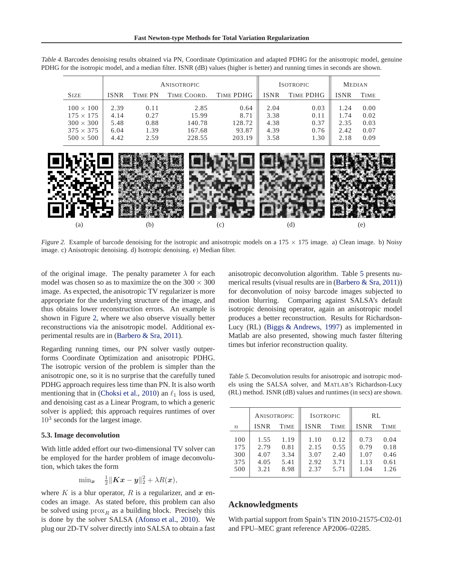|                                                                                                  | <b>ANISOTROPIC</b>                   |                                      |                                             | <b>ISOTROPIC</b>                          |                                      | <b>MEDIAN</b>                        |                                      |                                      |
|--------------------------------------------------------------------------------------------------|--------------------------------------|--------------------------------------|---------------------------------------------|-------------------------------------------|--------------------------------------|--------------------------------------|--------------------------------------|--------------------------------------|
| <b>SIZE</b>                                                                                      | <b>ISNR</b>                          | TIME PN                              | TIME COORD.                                 | TIME PDHG                                 | <b>ISNR</b>                          | <b>TIME PDHG</b>                     | ISNR                                 | TIME                                 |
| $100 \times 100$<br>$175 \times 175$<br>$300 \times 300$<br>$375 \times 375$<br>$500 \times 500$ | 2.39<br>4.14<br>5.48<br>6.04<br>4.42 | 0.11<br>0.27<br>0.88<br>1.39<br>2.59 | 2.85<br>15.99<br>140.78<br>167.68<br>228.55 | 0.64<br>8.71<br>128.72<br>93.87<br>203.19 | 2.04<br>3.38<br>4.38<br>4.39<br>3.58 | 0.03<br>0.11<br>0.37<br>0.76<br>1.30 | 1.24<br>1.74<br>2.35<br>2.42<br>2.18 | 0.00<br>0.02<br>0.03<br>0.07<br>0.09 |

<span id="page-6-0"></span>Table 4. Barcodes denoising results obtained via PN, Coordinate Optimization and adapted PDHG for the anisotropic model, genuine PDHG for the isotropic model, and a median filter. ISNR (dB) values (higher is better) and running times in seconds are shown.



Figure 2. Example of barcode denoising for the isotropic and anisotropic models on a  $175 \times 175$  image. a) Clean image. b) Noisy image. c) Anisotropic denoising. d) Isotropic denoising. e) Median filter.

of the original image. The penalty parameter  $\lambda$  for each model was chosen so as to maximize the on the  $300 \times 300$ image. As expected, the anisotropic TV regularizer is more appropriate for the underlying structure of the image, and thus obtains lower reconstruction errors. An example is shown in Figure 2, where we also observe visually better reconstructions via the anisotropic model. Additional experimental results are in [\(Barbero & Sra](#page-7-0), [2011](#page-7-0)).

Regarding running times, our PN solver vastly outperforms Coordinate Optimization and anisotropic PDHG. The isotropic version of the problem is simpler than the anisotropic one, so it is no surprise that the carefully tuned PDHG approach requires less time than PN. It is also worth mentioning that in [\(Choksi et al.,](#page-7-0) [2010\)](#page-7-0) an  $\ell_1$  loss is used, and denoising cast as a Linear Program, to which a generic solver is applied; this approach requires runtimes of over  $10<sup>3</sup>$  seconds for the largest image.

### **5.3. Image deconvolution**

With little added effort our two-dimensional TV solver can be employed for the harder problem of image deconvolution, which takes the form

$$
\text{min}_{\boldsymbol{x}} \quad \tfrac{1}{2} \| \boldsymbol{K} \boldsymbol{x} - \boldsymbol{y} \|_2^2 + \lambda R(\boldsymbol{x}),
$$

where  $K$  is a blur operator,  $R$  is a regularizer, and  $x$  encodes an image. As stated before, this problem can also be solved using  $prox_R$  as a building block. Precisely this is done by the solver SALSA [\(Afonso et al.](#page-7-0), [2010](#page-7-0)). We plug our 2D-TV solver directly into SALSA to obtain a fast anisotropic deconvolution algorithm. Table 5 presents numerical results (visual results are in [\(Barbero & Sra](#page-7-0), [2011\)](#page-7-0)) for deconvolution of noisy barcode images subjected to motion blurring. Comparing against SALSA's default isotropic denoising operator, again an anisotropic model produces a better reconstruction. Results for Richardson-Lucy (RL) [\(Biggs & Andrews,](#page-7-0) [1997](#page-7-0)) as implemented in Matlab are also presented, showing much faster filtering times but inferior reconstruction quality.

Table 5. Deconvolution results for anisotropic and isotropic models using the SALSA solver, and MATLAB's Richardson-Lucy (RL) method. ISNR (dB) values and runtimes (in secs) are shown.

|                                 | ANISOTROPIC                          |                                      | <b>ISOTROPIC</b>                     |                                      | RL                                   |                                      |
|---------------------------------|--------------------------------------|--------------------------------------|--------------------------------------|--------------------------------------|--------------------------------------|--------------------------------------|
| $\boldsymbol{n}$                | <b>ISNR</b>                          | <b>TIME</b>                          | <b>ISNR</b>                          | <b>TIME</b>                          | <b>ISNR</b>                          | <b>TIME</b>                          |
| 100<br>175<br>300<br>375<br>500 | 1.55<br>2.79<br>4.07<br>4.05<br>3.21 | 1.19<br>0.81<br>3.34<br>5.41<br>8.98 | 1.10<br>2.15<br>3.07<br>2.92<br>2.37 | 0.12<br>0.55<br>2.40<br>3.71<br>5.71 | 0.73<br>0.79<br>1.07<br>1.13<br>1.04 | 0.04<br>0.18<br>0.46<br>0.61<br>1.26 |

#### **Acknowledgments**

With partial support from Spain's TIN 2010-21575-C02-01 and FPU–MEC grant reference AP2006–02285.